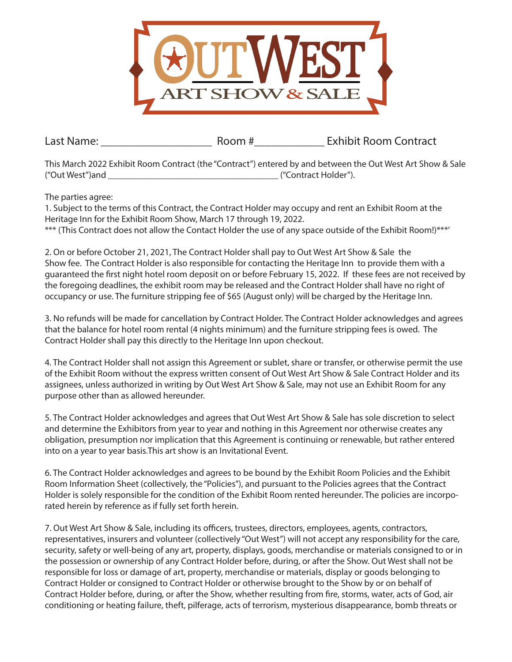

Last Name: The Communication of the Room # The Exhibit Room Contract

This March 2022 Exhibit Room Contract (the "Contract") entered by and between the Out West Art Show & Sale ("Out West")and \_\_\_\_\_\_\_\_\_\_\_\_\_\_\_\_\_\_\_\_\_\_\_\_\_\_\_\_\_\_\_\_\_\_\_\_\_ ("Contract Holder").

The parties agree:

1. Subject to the terms of this Contract, the Contract Holder may occupy and rent an Exhibit Room at the Heritage Inn for the Exhibit Room Show, March 17 through 19, 2022. \*\*\* (This Contract does not allow the Contact Holder the use of any space outside of the Exhibit Room!)\*\*\*'

2. On or before October 21, 2021, The Contract Holder shall pay to Out West Art Show & Sale the Show fee. The Contract Holder is also responsible for contacting the Heritage Inn to provide them with a guaranteed the first night hotel room deposit on or before February 15, 2022. If these fees are not received by the foregoing deadlines, the exhibit room may be released and the Contract Holder shall have no right of occupancy or use. The furniture stripping fee of \$65 (August only) will be charged by the Heritage Inn.

3. No refunds will be made for cancellation by Contract Holder. The Contract Holder acknowledges and agrees that the balance for hotel room rental (4 nights minimum) and the furniture stripping fees is owed. The Contract Holder shall pay this directly to the Heritage Inn upon checkout.

4. The Contract Holder shall not assign this Agreement or sublet, share or transfer, or otherwise permit the use of the Exhibit Room without the express written consent of Out West Art Show & Sale Contract Holder and its assignees, unless authorized in writing by Out West Art Show & Sale, may not use an Exhibit Room for any purpose other than as allowed hereunder.

5. The Contract Holder acknowledges and agrees that Out West Art Show & Sale has sole discretion to select and determine the Exhibitors from year to year and nothing in this Agreement nor otherwise creates any obligation, presumption nor implication that this Agreement is continuing or renewable, but rather entered into on a year to year basis.This art show is an Invitational Event.

6. The Contract Holder acknowledges and agrees to be bound by the Exhibit Room Policies and the Exhibit Room Information Sheet (collectively, the "Policies"), and pursuant to the Policies agrees that the Contract Holder is solely responsible for the condition of the Exhibit Room rented hereunder. The policies are incorporated herein by reference as if fully set forth herein.

7. Out West Art Show & Sale, including its officers, trustees, directors, employees, agents, contractors, representatives, insurers and volunteer (collectively "Out West") will not accept any responsibility for the care, security, safety or well-being of any art, property, displays, goods, merchandise or materials consigned to or in the possession or ownership of any Contract Holder before, during, or after the Show. Out West shall not be responsible for loss or damage of art, property, merchandise or materials, display or goods belonging to Contract Holder or consigned to Contract Holder or otherwise brought to the Show by or on behalf of Contract Holder before, during, or after the Show, whether resulting from fire, storms, water, acts of God, air conditioning or heating failure, theft, pilferage, acts of terrorism, mysterious disappearance, bomb threats or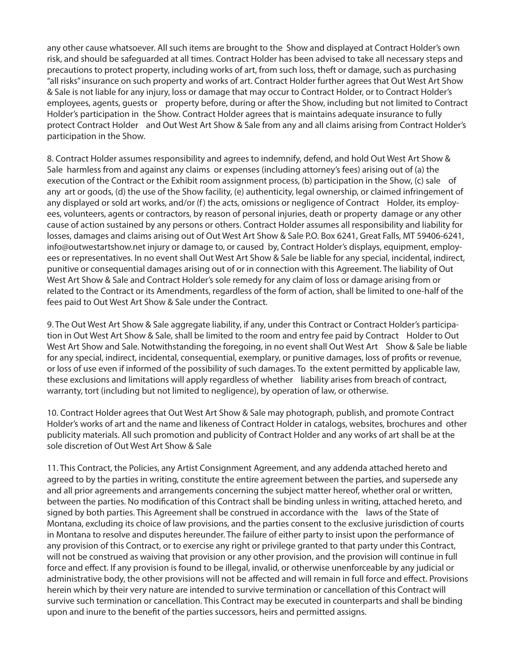any other cause whatsoever. All such items are brought to the Show and displayed at Contract Holder's own risk, and should be safeguarded at all times. Contract Holder has been advised to take all necessary steps and precautions to protect property, including works of art, from such loss, theft or damage, such as purchasing "all risks" insurance on such property and works of art. Contract Holder further agrees that Out West Art Show & Sale is not liable for any injury, loss or damage that may occur to Contract Holder, or to Contract Holder's employees, agents, guests or property before, during or after the Show, including but not limited to Contract Holder's participation in the Show. Contract Holder agrees that is maintains adequate insurance to fully protect Contract Holder and Out West Art Show & Sale from any and all claims arising from Contract Holder's participation in the Show.

8. Contract Holder assumes responsibility and agrees to indemnify, defend, and hold Out West Art Show & Sale harmless from and against any claims or expenses (including attorney's fees) arising out of (a) the execution of the Contract or the Exhibit room assignment process, (b) participation in the Show, (c) sale of any art or goods, (d) the use of the Show facility, (e) authenticity, legal ownership, or claimed infringement of any displayed or sold art works, and/or (f) the acts, omissions or negligence of Contract Holder, its employees, volunteers, agents or contractors, by reason of personal injuries, death or property damage or any other cause of action sustained by any persons or others. Contract Holder assumes all responsibility and liability for losses, damages and claims arising out of Out West Art Show & Sale P.O. Box 6241, Great Falls, MT 59406-6241, info@outwestartshow.net injury or damage to, or caused by, Contract Holder's displays, equipment, employees or representatives. In no event shall Out West Art Show & Sale be liable for any special, incidental, indirect, punitive or consequential damages arising out of or in connection with this Agreement. The liability of Out West Art Show & Sale and Contract Holder's sole remedy for any claim of loss or damage arising from or related to the Contract or its Amendments, regardless of the form of action, shall be limited to one-half of the fees paid to Out West Art Show & Sale under the Contract.

9. The Out West Art Show & Sale aggregate liability, if any, under this Contract or Contract Holder's participation in Out West Art Show & Sale, shall be limited to the room and entry fee paid by Contract Holder to Out West Art Show and Sale. Notwithstanding the foregoing, in no event shall Out West Art Show & Sale be liable for any special, indirect, incidental, consequential, exemplary, or punitive damages, loss of profits or revenue, or loss of use even if informed of the possibility of such damages. To the extent permitted by applicable law, these exclusions and limitations will apply regardless of whether liability arises from breach of contract, warranty, tort (including but not limited to negligence), by operation of law, or otherwise.

10. Contract Holder agrees that Out West Art Show & Sale may photograph, publish, and promote Contract Holder's works of art and the name and likeness of Contract Holder in catalogs, websites, brochures and other publicity materials. All such promotion and publicity of Contract Holder and any works of art shall be at the sole discretion of Out West Art Show & Sale

11. This Contract, the Policies, any Artist Consignment Agreement, and any addenda attached hereto and agreed to by the parties in writing, constitute the entire agreement between the parties, and supersede any and all prior agreements and arrangements concerning the subject matter hereof, whether oral or written, between the parties. No modification of this Contract shall be binding unless in writing, attached hereto, and signed by both parties. This Agreement shall be construed in accordance with the laws of the State of Montana, excluding its choice of law provisions, and the parties consent to the exclusive jurisdiction of courts in Montana to resolve and disputes hereunder. The failure of either party to insist upon the performance of any provision of this Contract, or to exercise any right or privilege granted to that party under this Contract, will not be construed as waiving that provision or any other provision, and the provision will continue in full force and effect. If any provision is found to be illegal, invalid, or otherwise unenforceable by any judicial or administrative body, the other provisions will not be affected and will remain in full force and effect. Provisions herein which by their very nature are intended to survive termination or cancellation of this Contract will survive such termination or cancellation. This Contract may be executed in counterparts and shall be binding upon and inure to the benefit of the parties successors, heirs and permitted assigns.